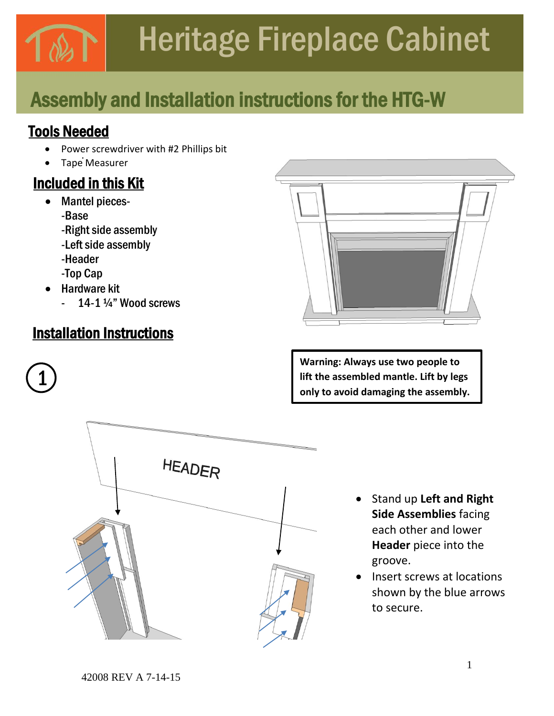# Heritage Fireplace Cabinet

## Assembly and Installation instructions for the HTG-W

### Tools Needed

- Power screwdriver with #2 Phillips bit
- Tape Measurer

### Included in this Kit

- Mantel pieces-
	- -Base
	- -Right side assembly
	- -Left side assembly
	- -Header
	- -Top Cap
- Hardware kit

1

14-1 $\frac{1}{4}$ " Wood screws

### Installation Instructions



**Warning: Always use two people to lift the assembled mantle. Lift by legs only to avoid damaging the assembly.** 



- Stand up **Left and Right Side Assemblies** facing each other and lower **Header** piece into the groove.
- Insert screws at locations shown by the blue arrows to secure.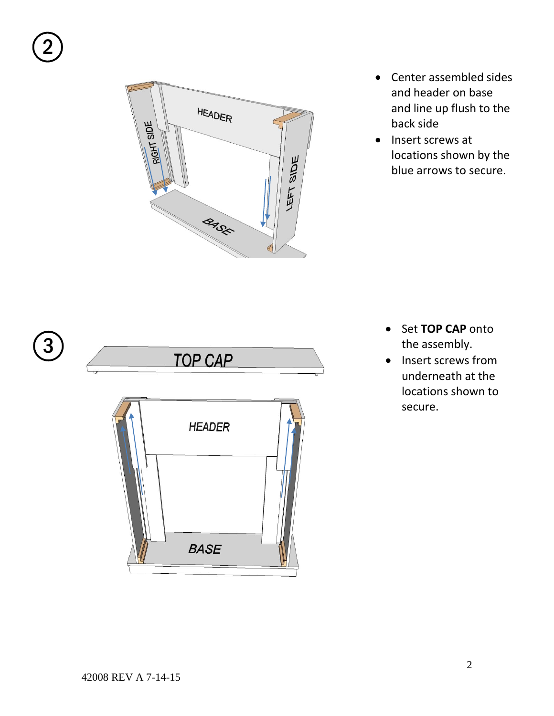

- Center assembled sides and header on base and line up flush to the back side
- Insert screws at locations shown by the blue arrows to secure.





- Set **TOP CAP** onto the assembly.
- Insert screws from underneath at the locations shown to secure.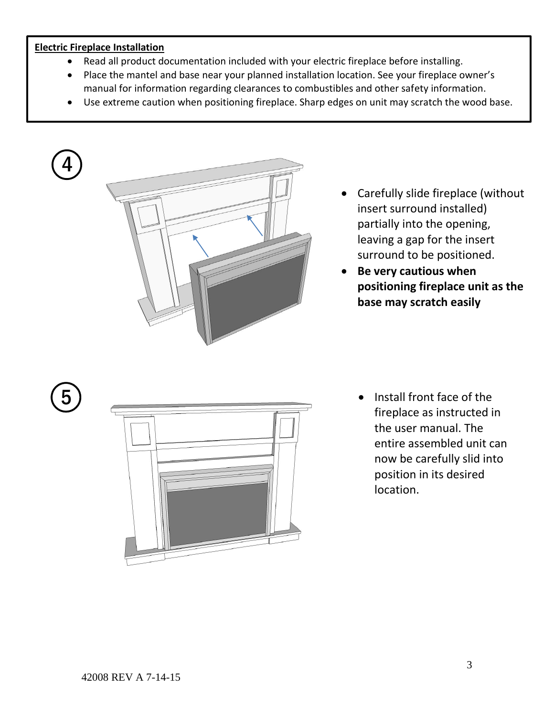#### **Electric Fireplace Installation**

- Read all product documentation included with your electric fireplace before installing.
- Place the mantel and base near your planned installation location. See your fireplace owner's manual for information regarding clearances to combustibles and other safety information.
- Use extreme caution when positioning fireplace. Sharp edges on unit may scratch the wood base.



- Carefully slide fireplace (without insert surround installed) partially into the opening, leaving a gap for the insert surround to be positioned.
- **Be very cautious when positioning fireplace unit as the base may scratch easily**





Install front face of the fireplace as instructed in the user manual. The entire assembled unit can now be carefully slid into position in its desired location.